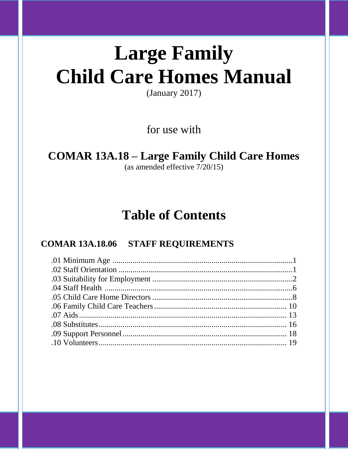# **Large Family Child Care Homes Manual**

 $(January 2017)$ 

for use with

## **COMAR 13A.18 - Large Family Child Care Homes**

(as amended effective  $7/20/15$ )

## **Table of Contents**

### **COMAR 13A.18.06 STAFF REQUIREMENTS**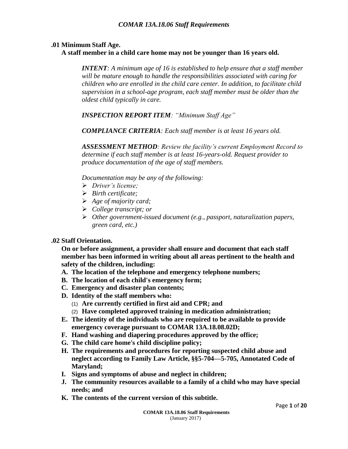#### **.01 Minimum Staff Age.**

#### **A staff member in a child care home may not be younger than 16 years old.**

*INTENT: A minimum age of 16 is established to help ensure that a staff member will be mature enough to handle the responsibilities associated with caring for children who are enrolled in the child care center. In addition, to facilitate child supervision in a school-age program, each staff member must be older than the oldest child typically in care.*

*INSPECTION REPORT ITEM: "Minimum Staff Age"*

*COMPLIANCE CRITERIA: Each staff member is at least 16 years old.*

*ASSESSMENT METHOD: Review the facility's current Employment Record to determine if each staff member is at least 16-years-old. Request provider to produce documentation of the age of staff members.*

*Documentation may be any of the following:*

- *Driver's license;*
- *Birth certificate;*
- *Age of majority card;*
- *College transcript; or*
- *Other government-issued document (e.g., passport, naturalization papers, green card, etc.)*

#### **.02 Staff Orientation.**

**On or before assignment, a provider shall ensure and document that each staff member has been informed in writing about all areas pertinent to the health and safety of the children, including:**

- **A. The location of the telephone and emergency telephone numbers;**
- **B. The location of each child's emergency form;**
- **C. Emergency and disaster plan contents;**
- **D. Identity of the staff members who:**
	- (1) **Are currently certified in first aid and CPR; and**
	- (2) **Have completed approved training in medication administration;**
- **E. The identity of the individuals who are required to be available to provide emergency coverage pursuant to COMAR 13A.18.08.02D;**
- **F. Hand washing and diapering procedures approved by the office;**
- **G. The child care home's child discipline policy;**
- **H. The requirements and procedures for reporting suspected child abuse and neglect according to Family Law Article, §§5-704—5-705, Annotated Code of Maryland;**
- **I. Signs and symptoms of abuse and neglect in children;**
- **J. The community resources available to a family of a child who may have special needs; and**
- **K. The contents of the current version of this subtitle.**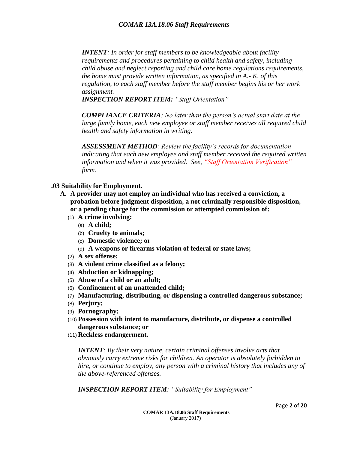*INTENT: In order for staff members to be knowledgeable about facility requirements and procedures pertaining to child health and safety, including child abuse and neglect reporting and child care home regulations requirements, the home must provide written information, as specified in A.- K. of this regulation, to each staff member before the staff member begins his or her work assignment.* 

*INSPECTION REPORT ITEM: "Staff Orientation"*

*COMPLIANCE CRITERIA: No later than the person's actual start date at the large family home, each new employee or staff member receives all required child health and safety information in writing.*

*ASSESSMENT METHOD: Review the facility's records for documentation indicating that each new employee and staff member received the required written information and when it was provided. See, "Staff Orientation Verification" form.*

- **.03 Suitability for Employment.**
	- **A. A provider may not employ an individual who has received a conviction, a probation before judgment disposition, a not criminally responsible disposition, or a pending charge for the commission or attempted commission of:**
		- (1) **A crime involving:**
			- (a) **A child;**
			- (b) **Cruelty to animals;**
			- (c) **Domestic violence; or**
			- (d) **A weapons or firearms violation of federal or state laws;**
		- (2) **A sex offense;**
		- (3) **A violent crime classified as a felony;**
		- (4) **Abduction or kidnapping;**
		- (5) **Abuse of a child or an adult;**
		- (6) **Confinement of an unattended child;**
		- (7) **Manufacturing, distributing, or dispensing a controlled dangerous substance;**
		- (8) **Perjury;**
		- (9) **Pornography;**
		- (10) **Possession with intent to manufacture, distribute, or dispense a controlled dangerous substance; or**
		- (11) **Reckless endangerment.**

*INTENT: By their very nature, certain criminal offenses involve acts that obviously carry extreme risks for children. An operator is absolutely forbidden to hire, or continue to employ, any person with a criminal history that includes any of the above-referenced offenses.*

*INSPECTION REPORT ITEM: "Suitability for Employment"*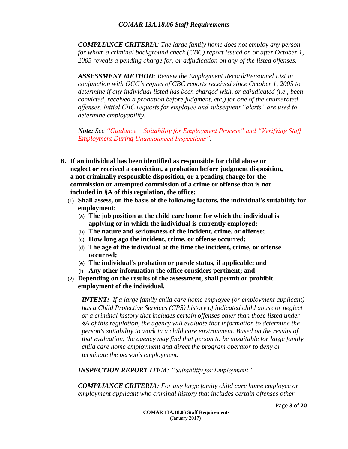*COMPLIANCE CRITERIA: The large family home does not employ any person for whom a criminal background check (CBC) report issued on or after October 1, 2005 reveals a pending charge for, or adjudication on any of the listed offenses.*

*ASSESSMENT METHOD: Review the Employment Record/Personnel List in conjunction with OCC's copies of CBC reports received since October 1, 2005 to determine if any individual listed has been charged with, or adjudicated (i.e., been convicted, received a probation before judgment, etc.) for one of the enumerated offenses. Initial CBC requests for employee and subsequent "alerts" are used to determine employability.* 

*Note: See "Guidance – Suitability for Employment Process" and "Verifying Staff Employment During Unannounced Inspections".*

- **B. If an individual has been identified as responsible for child abuse or neglect or received a conviction, a probation before judgment disposition, a not criminally responsible disposition, or a pending charge for the commission or attempted commission of a crime or offense that is not included in §A of this regulation, the office:**
	- (1) **Shall assess, on the basis of the following factors, the individual's suitability for employment:**
		- (a) **The job position at the child care home for which the individual is applying or in which the individual is currently employed;**
		- (b) **The nature and seriousness of the incident, crime, or offense;**
		- (c) **How long ago the incident, crime, or offense occurred;**
		- (d) **The age of the individual at the time the incident, crime, or offense occurred;**
		- (e) **The individual's probation or parole status, if applicable; and**
		- (f) **Any other information the office considers pertinent; and**
	- (2) **Depending on the results of the assessment, shall permit or prohibit employment of the individual.**

*INTENT: If a large family child care home employee (or employment applicant) has a Child Protective Services (CPS) history of indicated child abuse or neglect or a criminal history that includes certain offenses other than those listed under §A of this regulation, the agency will evaluate that information to determine the person's suitability to work in a child care environment. Based on the results of that evaluation, the agency may find that person to be unsuitable for large family child care home employment and direct the program operator to deny or terminate the person's employment.*

*INSPECTION REPORT ITEM: "Suitability for Employment"*

*COMPLIANCE CRITERIA: For any large family child care home employee or employment applicant who criminal history that includes certain offenses other*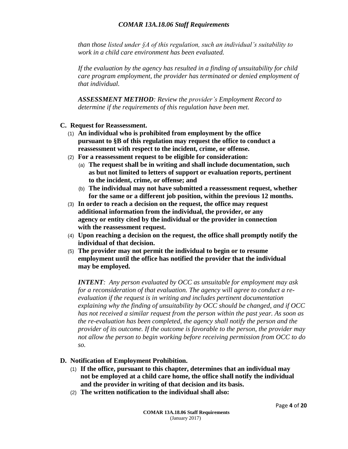*than those listed under §A of this regulation, such an individual's suitability to work in a child care environment has been evaluated.*

*If the evaluation by the agency has resulted in a finding of unsuitability for child care program employment, the provider has terminated or denied employment of that individual.*

*ASSESSMENT METHOD: Review the provider's Employment Record to determine if the requirements of this regulation have been met.*

- **C. Request for Reassessment.**
	- (1) **An individual who is prohibited from employment by the office pursuant to §B of this regulation may request the office to conduct a reassessment with respect to the incident, crime, or offense.**
	- (2) **For a reassessment request to be eligible for consideration:**
		- (a) **The request shall be in writing and shall include documentation, such as but not limited to letters of support or evaluation reports, pertinent to the incident, crime, or offense; and**
		- (b) **The individual may not have submitted a reassessment request, whether for the same or a different job position, within the previous 12 months.**
	- (3) **In order to reach a decision on the request, the office may request additional information from the individual, the provider, or any agency or entity cited by the individual or the provider in connection with the reassessment request.**
	- (4) **Upon reaching a decision on the request, the office shall promptly notify the individual of that decision.**
	- (5) **The provider may not permit the individual to begin or to resume employment until the office has notified the provider that the individual may be employed.**

*INTENT: Any person evaluated by OCC as unsuitable for employment may ask for a reconsideration of that evaluation. The agency will agree to conduct a reevaluation if the request is in writing and includes pertinent documentation explaining why the finding of unsuitability by OCC should be changed, and if OCC has not received a similar request from the person within the past year. As soon as the re-evaluation has been completed, the agency shall notify the person and the provider of its outcome. If the outcome is favorable to the person, the provider may not allow the person to begin working before receiving permission from OCC to do so.*

#### **D. Notification of Employment Prohibition.**

- (1) **If the office, pursuant to this chapter, determines that an individual may not be employed at a child care home, the office shall notify the individual and the provider in writing of that decision and its basis.**
- (2) **The written notification to the individual shall also:**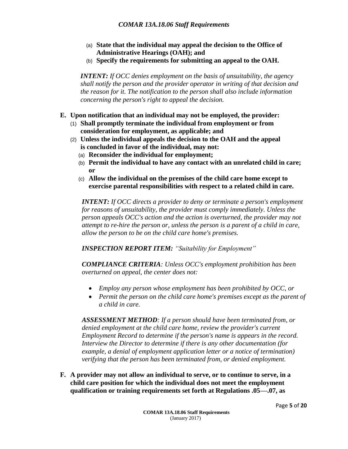- (a) **State that the individual may appeal the decision to the Office of Administrative Hearings (OAH); and**
- (b) **Specify the requirements for submitting an appeal to the OAH.**

*INTENT: If OCC denies employment on the basis of unsuitability, the agency shall notify the person and the provider operator in writing of that decision and the reason for it. The notification to the person shall also include information concerning the person's right to appeal the decision.*

- **E. Upon notification that an individual may not be employed, the provider:**
	- (1) **Shall promptly terminate the individual from employment or from consideration for employment, as applicable; and**
	- (2) **Unless the individual appeals the decision to the OAH and the appeal is concluded in favor of the individual, may not:**
		- (a) **Reconsider the individual for employment;**
		- (b) **Permit the individual to have any contact with an unrelated child in care; or**
		- (c) **Allow the individual on the premises of the child care home except to exercise parental responsibilities with respect to a related child in care.**

*INTENT: If OCC directs a provider to deny or terminate a person's employment for reasons of unsuitability, the provider must comply immediately. Unless the person appeals OCC's action and the action is overturned, the provider may not attempt to re-hire the person or, unless the person is a parent of a child in care, allow the person to be on the child care home's premises.*

*INSPECTION REPORT ITEM: "Suitability for Employment"*

*COMPLIANCE CRITERIA: Unless OCC's employment prohibition has been overturned on appeal, the center does not:*

- *Employ any person whose employment has been prohibited by OCC, or*
- *Permit the person on the child care home's premises except as the parent of a child in care.*

*ASSESSMENT METHOD: If a person should have been terminated from, or denied employment at the child care home, review the provider's current Employment Record to determine if the person's name is appears in the record. Interview the Director to determine if there is any other documentation (for example, a denial of employment application letter or a notice of termination) verifying that the person has been terminated from, or denied employment.*

**F. A provider may not allow an individual to serve, or to continue to serve, in a child care position for which the individual does not meet the employment qualification or training requirements set forth at Regulations .05—.07, as**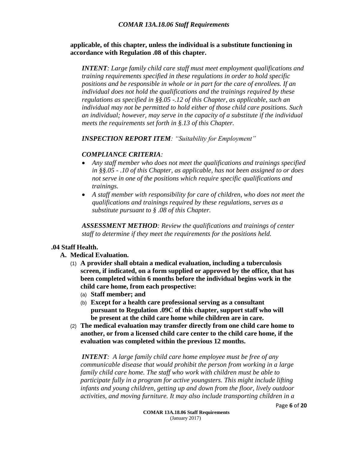**applicable, of this chapter, unless the individual is a substitute functioning in accordance with Regulation .08 of this chapter.**

*INTENT: Large family child care staff must meet employment qualifications and training requirements specified in these regulations in order to hold specific positions and be responsible in whole or in part for the care of enrollees. If an individual does not hold the qualifications and the trainings required by these regulations as specified in §§.05 -.12 of this Chapter, as applicable, such an individual may not be permitted to hold either of those child care positions. Such an individual; however, may serve in the capacity of a substitute if the individual meets the requirements set forth in §.13 of this Chapter.*

*INSPECTION REPORT ITEM: "Suitability for Employment"*

#### *COMPLIANCE CRITERIA:*

- *Any staff member who does not meet the qualifications and trainings specified in §§.05 - .10 of this Chapter, as applicable, has not been assigned to or does not serve in one of the positions which require specific qualifications and trainings.*
- *A staff member with responsibility for care of children, who does not meet the qualifications and trainings required by these regulations, serves as a substitute pursuant to § .08 of this Chapter.*

*ASSESSMENT METHOD: Review the qualifications and trainings of center staff to determine if they meet the requirements for the positions held.* 

#### **.04 Staff Health.**

- **A. Medical Evaluation.**
	- (1) **A provider shall obtain a medical evaluation, including a tuberculosis screen, if indicated, on a form supplied or approved by the office, that has been completed within 6 months before the individual begins work in the child care home, from each prospective:**
		- (a) **Staff member; and**
		- (b) **Except for a health care professional serving as a consultant pursuant to Regulation .09C of this chapter, support staff who will be present at the child care home while children are in care.**
	- (2) **The medical evaluation may transfer directly from one child care home to another, or from a licensed child care center to the child care home, if the evaluation was completed within the previous 12 months.**

*INTENT: A large family child care home employee must be free of any communicable disease that would prohibit the person from working in a large family child care home. The staff who work with children must be able to participate fully in a program for active youngsters. This might include lifting infants and young children, getting up and down from the floor, lively outdoor activities, and moving furniture. It may also include transporting children in a*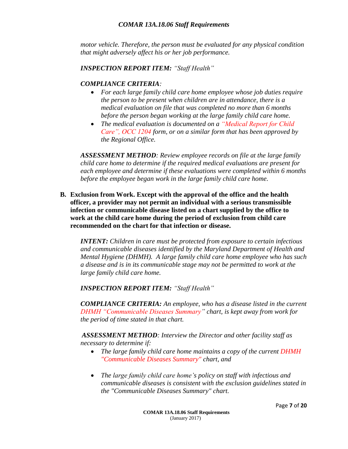*motor vehicle. Therefore, the person must be evaluated for any physical condition that might adversely affect his or her job performance.* 

#### *INSPECTION REPORT ITEM: "Staff Health"*

#### *COMPLIANCE CRITERIA:*

- *For each large family child care home employee whose job duties require the person to be present when children are in attendance, there is a medical evaluation on file that was completed no more than 6 months before the person began working at the large family child care home.*
- *The medical evaluation is documented on a "Medical Report for Child Care", OCC 1204 form, or on a similar form that has been approved by the Regional Office.*

*ASSESSMENT METHOD: Review employee records on file at the large family child care home to determine if the required medical evaluations are present for each employee and determine if these evaluations were completed within 6 months before the employee began work in the large family child care home.*

**B. Exclusion from Work. Except with the approval of the office and the health officer, a provider may not permit an individual with a serious transmissible infection or communicable disease listed on a chart supplied by the office to work at the child care home during the period of exclusion from child care recommended on the chart for that infection or disease.**

*INTENT: Children in care must be protected from exposure to certain infectious and communicable diseases identified by the Maryland Department of Health and Mental Hygiene (DHMH). A large family child care home employee who has such a disease and is in its communicable stage may not be permitted to work at the large family child care home.*

*INSPECTION REPORT ITEM: "Staff Health"*

*COMPLIANCE CRITERIA: An employee, who has a disease listed in the current DHMH "Communicable Diseases Summary" chart, is kept away from work for the period of time stated in that chart.*

*ASSESSMENT METHOD: Interview the Director and other facility staff as necessary to determine if:*

- *The large family child care home maintains a copy of the current DHMH "Communicable Diseases Summary" chart, and*
- *The large family child care home's policy on staff with infectious and communicable diseases is consistent with the exclusion guidelines stated in the "Communicable Diseases Summary" chart.*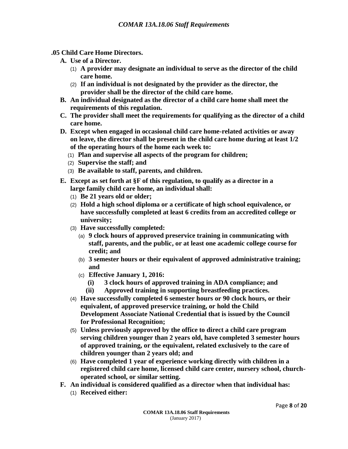- **.05 Child Care Home Directors.**
	- **A. Use of a Director.**
		- (1) **A provider may designate an individual to serve as the director of the child care home.**
		- (2) **If an individual is not designated by the provider as the director, the provider shall be the director of the child care home.**
	- **B. An individual designated as the director of a child care home shall meet the requirements of this regulation.**
	- **C. The provider shall meet the requirements for qualifying as the director of a child care home.**
	- **D. Except when engaged in occasional child care home-related activities or away on leave, the director shall be present in the child care home during at least 1/2 of the operating hours of the home each week to:**
		- (1) **Plan and supervise all aspects of the program for children;**
		- (2) **Supervise the staff; and**
		- (3) **Be available to staff, parents, and children.**
	- **E. Except as set forth at §F of this regulation, to qualify as a director in a large family child care home, an individual shall:**
		- (1) **Be 21 years old or older;**
		- (2) **Hold a high school diploma or a certificate of high school equivalence, or have successfully completed at least 6 credits from an accredited college or university;**
		- (3) **Have successfully completed:**
			- (a) **9 clock hours of approved preservice training in communicating with staff, parents, and the public, or at least one academic college course for credit; and**
			- (b) **3 semester hours or their equivalent of approved administrative training; and**
			- (c) **Effective January 1, 2016:**
				- **(i) 3 clock hours of approved training in ADA compliance; and**
				- **(ii) Approved training in supporting breastfeeding practices.**
		- (4) **Have successfully completed 6 semester hours or 90 clock hours, or their equivalent, of approved preservice training, or hold the Child Development Associate National Credential that is issued by the Council for Professional Recognition;**
		- (5) **Unless previously approved by the office to direct a child care program serving children younger than 2 years old, have completed 3 semester hours of approved training, or the equivalent, related exclusively to the care of children younger than 2 years old; and**
		- (6) **Have completed 1 year of experience working directly with children in a registered child care home, licensed child care center, nursery school, churchoperated school, or similar setting.**
	- **F. An individual is considered qualified as a director when that individual has:**
		- (1) **Received either:**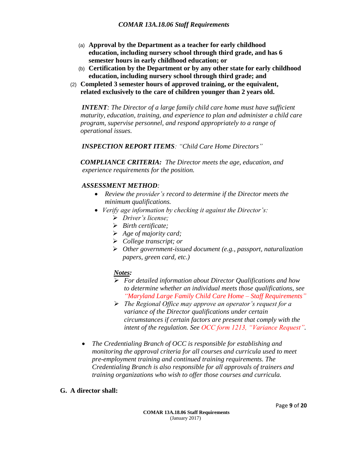- (a) **Approval by the Department as a teacher for early childhood education, including nursery school through third grade, and has 6 semester hours in early childhood education; or**
- (b) **Certification by the Department or by any other state for early childhood education, including nursery school through third grade; and**
- (2) **Completed 3 semester hours of approved training, or the equivalent, related exclusively to the care of children younger than 2 years old.**

*INTENT: The Director of a large family child care home must have sufficient maturity, education, training, and experience to plan and administer a child care program, supervise personnel, and respond appropriately to a range of operational issues.*

*INSPECTION REPORT ITEMS: "Child Care Home Directors"*

*COMPLIANCE CRITERIA: The Director meets the age, education, and experience requirements for the position.*

#### *ASSESSMENT METHOD:*

- *Review the provider's record to determine if the Director meets the minimum qualifications.*
- *Verify age information by checking it against the Director's:*
	- *Driver's license;*
	- *Birth certificate;*
	- *Age of majority card;*
	- *College transcript; or*
	- *Other government-issued document (e.g., passport, naturalization papers, green card, etc.)*

#### *Notes:*

- *For detailed information about Director Qualifications and how to determine whether an individual meets those qualifications, see "Maryland Large Family Child Care Home – Staff Requirements"*
- *The Regional Office may approve an operator's request for a variance of the Director qualifications under certain circumstances if certain factors are present that comply with the intent of the regulation. See OCC form 1213, "Variance Request".*
- *The Credentialing Branch of OCC is responsible for establishing and monitoring the approval criteria for all courses and curricula used to meet pre-employment training and continued training requirements. The Credentialing Branch is also responsible for all approvals of trainers and training organizations who wish to offer those courses and curricula.*

#### **G. A director shall:**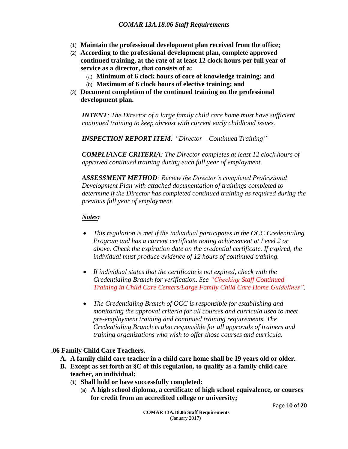- (1) **Maintain the professional development plan received from the office;**
- (2) **According to the professional development plan, complete approved continued training, at the rate of at least 12 clock hours per full year of service as a director, that consists of a:**
	- (a) **Minimum of 6 clock hours of core of knowledge training; and**
	- (b) **Maximum of 6 clock hours of elective training; and**
- (3) **Document completion of the continued training on the professional development plan.**

*INTENT: The Director of a large family child care home must have sufficient continued training to keep abreast with current early childhood issues.*

*INSPECTION REPORT ITEM: "Director – Continued Training"*

*COMPLIANCE CRITERIA: The Director completes at least 12 clock hours of approved continued training during each full year of employment.*

*ASSESSMENT METHOD: Review the Director's completed Professional Development Plan with attached documentation of trainings completed to determine if the Director has completed continued training as required during the previous full year of employment.*

#### *Notes:*

- *This regulation is met if the individual participates in the OCC Credentialing Program and has a current certificate noting achievement at Level 2 or above. Check the expiration date on the credential certificate. If expired, the individual must produce evidence of 12 hours of continued training.*
- *If individual states that the certificate is not expired, check with the Credentialing Branch for verification. See "Checking Staff Continued Training in Child Care Centers/Large Family Child Care Home Guidelines".*
- *The Credentialing Branch of OCC is responsible for establishing and monitoring the approval criteria for all courses and curricula used to meet pre-employment training and continued training requirements. The Credentialing Branch is also responsible for all approvals of trainers and training organizations who wish to offer those courses and curricula.*

#### **.06 Family Child Care Teachers.**

- **A. A family child care teacher in a child care home shall be 19 years old or older.**
- **B. Except as set forth at §C of this regulation, to qualify as a family child care teacher, an individual:**
	- (1) **Shall hold or have successfully completed:**
		- (a) **A high school diploma, a certificate of high school equivalence, or courses for credit from an accredited college or university;**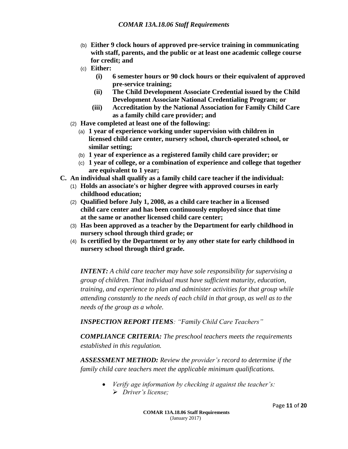- (b) **Either 9 clock hours of approved pre-service training in communicating with staff, parents, and the public or at least one academic college course for credit; and**
- (c) **Either:**
	- **(i) 6 semester hours or 90 clock hours or their equivalent of approved pre-service training;**
	- **(ii) The Child Development Associate Credential issued by the Child Development Associate National Credentialing Program; or**
	- **(iii) Accreditation by the National Association for Family Child Care as a family child care provider; and**
- (2) **Have completed at least one of the following:**
	- (a) **1 year of experience working under supervision with children in licensed child care center, nursery school, church-operated school, or similar setting;**
	- (b) **1 year of experience as a registered family child care provider; or**
	- (c) **1 year of college, or a combination of experience and college that together are equivalent to 1 year;**
- **C. An individual shall qualify as a family child care teacher if the individual:**
	- (1) **Holds an associate's or higher degree with approved courses in early childhood education;**
	- (2) **Qualified before July 1, 2008, as a child care teacher in a licensed child care center and has been continuously employed since that time at the same or another licensed child care center;**
	- (3) **Has been approved as a teacher by the Department for early childhood in nursery school through third grade; or**
	- (4) **Is certified by the Department or by any other state for early childhood in nursery school through third grade.**

*INTENT: A child care teacher may have sole responsibility for supervising a group of children. That individual must have sufficient maturity, education, training, and experience to plan and administer activities for that group while attending constantly to the needs of each child in that group, as well as to the needs of the group as a whole.*

*INSPECTION REPORT ITEMS: "Family Child Care Teachers"*

*COMPLIANCE CRITERIA: The preschool teachers meets the requirements established in this regulation.*

*ASSESSMENT METHOD: Review the provider's record to determine if the family child care teachers meet the applicable minimum qualifications.*

> *Verify age information by checking it against the teacher's: Driver's license;*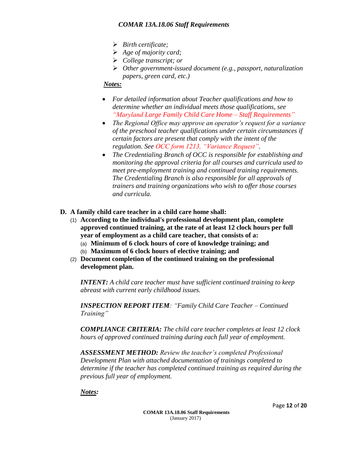- *Birth certificate;*
- *Age of majority card;*
- *College transcript; or*
- *Other government-issued document (e.g., passport, naturalization papers, green card, etc.)*

#### *Notes:*

- *For detailed information about Teacher qualifications and how to determine whether an individual meets those qualifications, see "Maryland Large Family Child Care Home – Staff Requirements"*
- *The Regional Office may approve an operator's request for a variance of the preschool teacher qualifications under certain circumstances if certain factors are present that comply with the intent of the regulation. See OCC form 1213, "Variance Request".*
- *The Credentialing Branch of OCC is responsible for establishing and monitoring the approval criteria for all courses and curricula used to meet pre-employment training and continued training requirements. The Credentialing Branch is also responsible for all approvals of trainers and training organizations who wish to offer those courses and curricula.*
- **D. A family child care teacher in a child care home shall:**
	- (1) **According to the individual's professional development plan, complete approved continued training, at the rate of at least 12 clock hours per full year of employment as a child care teacher, that consists of a:**
		- (a) **Minimum of 6 clock hours of core of knowledge training; and**
		- (b) **Maximum of 6 clock hours of elective training; and**
	- (2) **Document completion of the continued training on the professional development plan.**

*INTENT: A child care teacher must have sufficient continued training to keep abreast with current early childhood issues.*

*INSPECTION REPORT ITEM: "Family Child Care Teacher – Continued Training"*

*COMPLIANCE CRITERIA: The child care teacher completes at least 12 clock hours of approved continued training during each full year of employment.*

*ASSESSMENT METHOD: Review the teacher's completed Professional Development Plan with attached documentation of trainings completed to determine if the teacher has completed continued training as required during the previous full year of employment.*

*Notes:*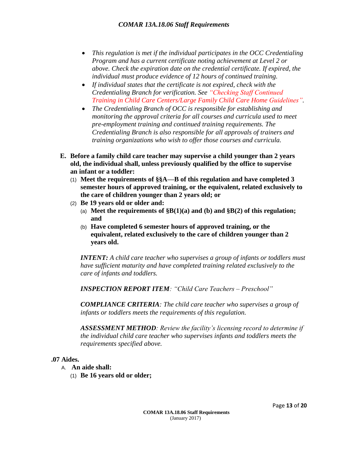- *This regulation is met if the individual participates in the OCC Credentialing Program and has a current certificate noting achievement at Level 2 or above. Check the expiration date on the credential certificate. If expired, the individual must produce evidence of 12 hours of continued training.*
- *If individual states that the certificate is not expired, check with the Credentialing Branch for verification. See "Checking Staff Continued Training in Child Care Centers/Large Family Child Care Home Guidelines".*
- *The Credentialing Branch of OCC is responsible for establishing and monitoring the approval criteria for all courses and curricula used to meet pre-employment training and continued training requirements. The Credentialing Branch is also responsible for all approvals of trainers and training organizations who wish to offer those courses and curricula.*
- **E. Before a family child care teacher may supervise a child younger than 2 years old, the individual shall, unless previously qualified by the office to supervise an infant or a toddler:**
	- (1) **Meet the requirements of §§A—B of this regulation and have completed 3 semester hours of approved training, or the equivalent, related exclusively to the care of children younger than 2 years old; or**
	- (2) **Be 19 years old or older and:**
		- (a) **Meet the requirements of §B(1)(a) and (b) and §B(2) of this regulation; and**
		- (b) **Have completed 6 semester hours of approved training, or the equivalent, related exclusively to the care of children younger than 2 years old.**

*INTENT: A child care teacher who supervises a group of infants or toddlers must have sufficient maturity and have completed training related exclusively to the care of infants and toddlers.*

*INSPECTION REPORT ITEM: "Child Care Teachers – Preschool"*

*COMPLIANCE CRITERIA: The child care teacher who supervises a group of infants or toddlers meets the requirements of this regulation.*

*ASSESSMENT METHOD: Review the facility's licensing record to determine if the individual child care teacher who supervises infants and toddlers meets the requirements specified above.*

#### **.07 Aides.**

- A. **An aide shall:**
	- (1) **Be 16 years old or older;**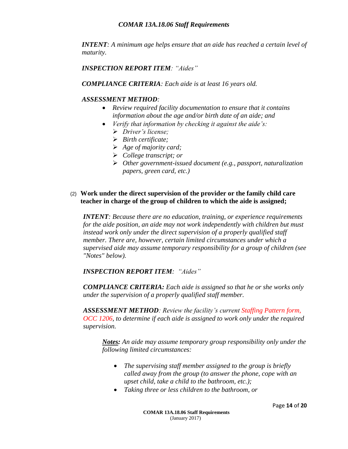*INTENT: A minimum age helps ensure that an aide has reached a certain level of maturity.*

*INSPECTION REPORT ITEM: "Aides"*

*COMPLIANCE CRITERIA: Each aide is at least 16 years old.*

#### *ASSESSMENT METHOD:*

- *Review required facility documentation to ensure that it contains information about the age and/or birth date of an aide; and*
- *Verify that information by checking it against the aide's:*
	- *Driver's license;*
	- *Birth certificate;*
	- *Age of majority card;*
	- *College transcript; or*
	- *Other government-issued document (e.g., passport, naturalization papers, green card, etc.)*

#### (2) **Work under the direct supervision of the provider or the family child care teacher in charge of the group of children to which the aide is assigned;**

*INTENT: Because there are no education, training, or experience requirements for the aide position, an aide may not work independently with children but must instead work only under the direct supervision of a properly qualified staff member. There are, however, certain limited circumstances under which a supervised aide may assume temporary responsibility for a group of children (see "Notes" below).*

#### *INSPECTION REPORT ITEM: "Aides"*

*COMPLIANCE CRITERIA: Each aide is assigned so that he or she works only under the supervision of a properly qualified staff member.*

*ASSESSMENT METHOD: Review the facility's current Staffing Pattern form, OCC 1206, to determine if each aide is assigned to work only under the required supervision.*

*Notes: An aide may assume temporary group responsibility only under the following limited circumstances:*

- *The supervising staff member assigned to the group is briefly called away from the group (to answer the phone, cope with an upset child, take a child to the bathroom, etc.);*
- *Taking three or less children to the bathroom, or*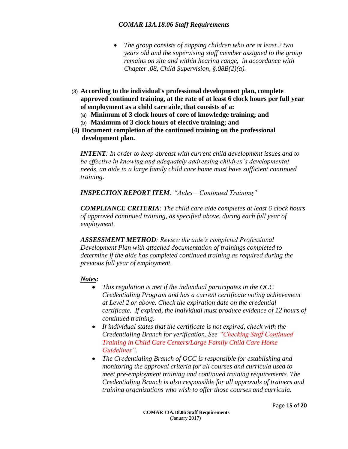- *The group consists of napping children who are at least 2 two years old and the supervising staff member assigned to the group remains on site and within hearing range, in accordance with Chapter .08, Child Supervision, §.08B(2)(a).*
- (3) **According to the individual's professional development plan, complete approved continued training, at the rate of at least 6 clock hours per full year of employment as a child care aide, that consists of a:**
	- (a) **Minimum of 3 clock hours of core of knowledge training; and**
	- (b) **Maximum of 3 clock hours of elective training; and**
- **(4) Document completion of the continued training on the professional development plan.**

*INTENT: In order to keep abreast with current child development issues and to be effective in knowing and adequately addressing children's developmental needs, an aide in a large family child care home must have sufficient continued training.* 

*INSPECTION REPORT ITEM: "Aides – Continued Training"*

*COMPLIANCE CRITERIA: The child care aide completes at least 6 clock hours of approved continued training, as specified above, during each full year of employment.*

*ASSESSMENT METHOD: Review the aide's completed Professional Development Plan with attached documentation of trainings completed to determine if the aide has completed continued training as required during the previous full year of employment.*

#### *Notes:*

- *This regulation is met if the individual participates in the OCC Credentialing Program and has a current certificate noting achievement at Level 2 or above. Check the expiration date on the credential certificate. If expired, the individual must produce evidence of 12 hours of continued training.*
- *If individual states that the certificate is not expired, check with the Credentialing Branch for verification. See "Checking Staff Continued Training in Child Care Centers/Large Family Child Care Home Guidelines".*
- *The Credentialing Branch of OCC is responsible for establishing and monitoring the approval criteria for all courses and curricula used to meet pre-employment training and continued training requirements. The Credentialing Branch is also responsible for all approvals of trainers and training organizations who wish to offer those courses and curricula.*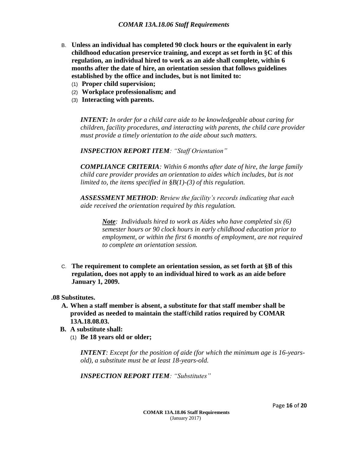- B. **Unless an individual has completed 90 clock hours or the equivalent in early childhood education preservice training, and except as set forth in §C of this regulation, an individual hired to work as an aide shall complete, within 6 months after the date of hire, an orientation session that follows guidelines established by the office and includes, but is not limited to:**
	- (1) **Proper child supervision;**
	- (2) **Workplace professionalism; and**
	- (3) **Interacting with parents.**

*INTENT: In order for a child care aide to be knowledgeable about caring for children, facility procedures, and interacting with parents, the child care provider must provide a timely orientation to the aide about such matters.* 

*INSPECTION REPORT ITEM: "Staff Orientation"*

*COMPLIANCE CRITERIA: Within 6 months after date of hire, the large family child care provider provides an orientation to aides which includes, but is not limited to, the items specified in §B(1)-(3) of this regulation.*

*ASSESSMENT METHOD: Review the facility's records indicating that each aide received the orientation required by this regulation.*

*Note: Individuals hired to work as Aides who have completed six (6) semester hours or 90 clock hours in early childhood education prior to employment, or within the first 6 months of employment, are not required to complete an orientation session.* 

C. **The requirement to complete an orientation session, as set forth at §B of this regulation, does not apply to an individual hired to work as an aide before January 1, 2009.**

**.08 Substitutes.**

- **A. When a staff member is absent, a substitute for that staff member shall be provided as needed to maintain the staff/child ratios required by COMAR 13A.18.08.03.**
- **B. A substitute shall:**
	- (1) **Be 18 years old or older;**

*INTENT: Except for the position of aide (for which the minimum age is 16-yearsold), a substitute must be at least 18-years-old.*

*INSPECTION REPORT ITEM: "Substitutes"*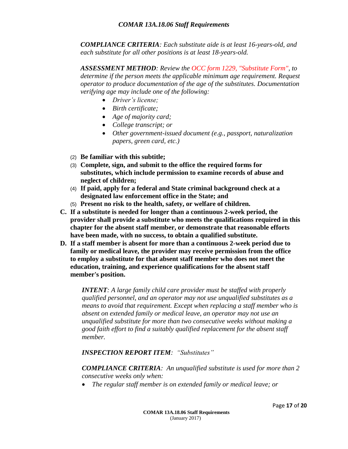*COMPLIANCE CRITERIA: Each substitute aide is at least 16-years-old, and each substitute for all other positions is at least 18-years-old.*

*ASSESSMENT METHOD: Review the OCC form 1229, "Substitute Form", to determine if the person meets the applicable minimum age requirement. Request operator to produce documentation of the age of the substitutes. Documentation verifying age may include one of the following:*

- *Driver's license;*
- *Birth certificate;*
- *Age of majority card;*
- *College transcript; or*
- *Other government-issued document (e.g., passport, naturalization papers, green card, etc.)*
- (2) **Be familiar with this subtitle;**
- (3) **Complete, sign, and submit to the office the required forms for substitutes, which include permission to examine records of abuse and neglect of children;**
- (4) **If paid, apply for a federal and State criminal background check at a designated law enforcement office in the State; and**
- (5) **Present no risk to the health, safety, or welfare of children.**
- **C. If a substitute is needed for longer than a continuous 2-week period, the provider shall provide a substitute who meets the qualifications required in this chapter for the absent staff member, or demonstrate that reasonable efforts have been made, with no success, to obtain a qualified substitute.**
- **D. If a staff member is absent for more than a continuous 2-week period due to family or medical leave, the provider may receive permission from the office to employ a substitute for that absent staff member who does not meet the education, training, and experience qualifications for the absent staff member's position.**

*INTENT: A large family child care provider must be staffed with properly qualified personnel, and an operator may not use unqualified substitutes as a means to avoid that requirement. Except when replacing a staff member who is absent on extended family or medical leave, an operator may not use an unqualified substitute for more than two consecutive weeks without making a good faith effort to find a suitably qualified replacement for the absent staff member.*

#### *INSPECTION REPORT ITEM: "Substitutes"*

*COMPLIANCE CRITERIA: An unqualified substitute is used for more than 2 consecutive weeks only when:*

*The regular staff member is on extended family or medical leave; or*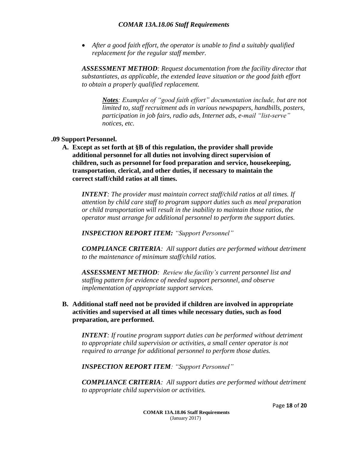*After a good faith effort, the operator is unable to find a suitably qualified replacement for the regular staff member.*

*ASSESSMENT METHOD: Request documentation from the facility director that substantiates, as applicable, the extended leave situation or the good faith effort to obtain a properly qualified replacement.*

*Notes: Examples of "good faith effort" documentation include, but are not limited to, staff recruitment ads in various newspapers, handbills, posters, participation in job fairs, radio ads, Internet ads, e-mail "list-serve" notices, etc.*

#### **.09 Support Personnel.**

**A. Except as set forth at §B of this regulation, the provider shall provide additional personnel for all duties not involving direct supervision of children, such as personnel for food preparation and service, housekeeping, transportation**, **clerical, and other duties, if necessary to maintain the correct staff/child ratios at all times.**

*INTENT: The provider must maintain correct staff/child ratios at all times. If attention by child care staff to program support duties such as meal preparation or child transportation will result in the inability to maintain those ratios, the operator must arrange for additional personnel to perform the support duties.*

*INSPECTION REPORT ITEM: "Support Personnel"*

*COMPLIANCE CRITERIA: All support duties are performed without detriment to the maintenance of minimum staff/child ratios.*

*ASSESSMENT METHOD: Review the facility's current personnel list and staffing pattern for evidence of needed support personnel, and observe implementation of appropriate support services.*

#### **B. Additional staff need not be provided if children are involved in appropriate activities and supervised at all times while necessary duties, such as food preparation, are performed.**

*INTENT: If routine program support duties can be performed without detriment to appropriate child supervision or activities, a small center operator is not required to arrange for additional personnel to perform those duties.*

*INSPECTION REPORT ITEM: "Support Personnel"*

*COMPLIANCE CRITERIA: All support duties are performed without detriment to appropriate child supervision or activities.*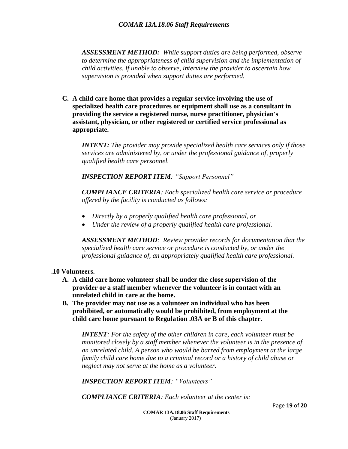*ASSESSMENT METHOD: While support duties are being performed, observe to determine the appropriateness of child supervision and the implementation of child activities. If unable to observe, interview the provider to ascertain how supervision is provided when support duties are performed.*

**C. A child care home that provides a regular service involving the use of specialized health care procedures or equipment shall use as a consultant in providing the service a registered nurse, nurse practitioner, physician's assistant, physician, or other registered or certified service professional as appropriate.**

*INTENT: The provider may provide specialized health care services only if those services are administered by, or under the professional guidance of, properly qualified health care personnel.*

*INSPECTION REPORT ITEM: "Support Personnel"*

*COMPLIANCE CRITERIA: Each specialized health care service or procedure offered by the facility is conducted as follows:*

- *Directly by a properly qualified health care professional, or*
- *Under the review of a properly qualified health care professional.*

*ASSESSMENT METHOD: Review provider records for documentation that the specialized health care service or procedure is conducted by, or under the professional guidance of, an appropriately qualified health care professional.*

#### **.10 Volunteers.**

- **A. A child care home volunteer shall be under the close supervision of the provider or a staff member whenever the volunteer is in contact with an unrelated child in care at the home.**
- **B. The provider may not use as a volunteer an individual who has been prohibited, or automatically would be prohibited, from employment at the child care home pursuant to Regulation .03A or B of this chapter.**

*INTENT: For the safety of the other children in care, each volunteer must be monitored closely by a staff member whenever the volunteer is in the presence of an unrelated child. A person who would be barred from employment at the large family child care home due to a criminal record or a history of child abuse or neglect may not serve at the home as a volunteer.*

*INSPECTION REPORT ITEM: "Volunteers"*

*COMPLIANCE CRITERIA: Each volunteer at the center is:*